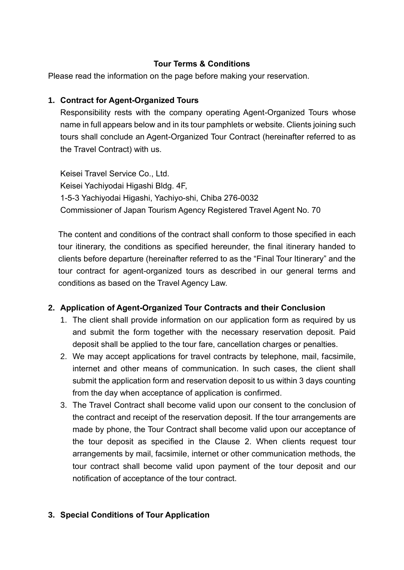## **Tour Terms & Conditions**

Please read the information on the page before making your reservation.

## **1. Contract for Agent-Organized Tours**

Responsibility rests with the company operating Agent-Organized Tours whose name in full appears below and in its tour pamphlets or website. Clients joining such tours shall conclude an Agent-Organized Tour Contract (hereinafter referred to as the Travel Contract) with us.

Keisei Travel Service Co., Ltd. Keisei Yachiyodai Higashi Bldg. 4F, 1-5-3 Yachiyodai Higashi, Yachiyo-shi, Chiba 276-0032 Commissioner of Japan Tourism Agency Registered Travel Agent No. 70

The content and conditions of the contract shall conform to those specified in each tour itinerary, the conditions as specified hereunder, the final itinerary handed to clients before departure (hereinafter referred to as the "Final Tour Itinerary" and the tour contract for agent-organized tours as described in our general terms and conditions as based on the Travel Agency Law.

## **2. Application of Agent-Organized Tour Contracts and their Conclusion**

- 1. The client shall provide information on our application form as required by us and submit the form together with the necessary reservation deposit. Paid deposit shall be applied to the tour fare, cancellation charges or penalties.
- 2. We may accept applications for travel contracts by telephone, mail, facsimile, internet and other means of communication. In such cases, the client shall submit the application form and reservation deposit to us within 3 days counting from the day when acceptance of application is confirmed.
- 3. The Travel Contract shall become valid upon our consent to the conclusion of the contract and receipt of the reservation deposit. If the tour arrangements are made by phone, the Tour Contract shall become valid upon our acceptance of the tour deposit as specified in the Clause 2. When clients request tour arrangements by mail, facsimile, internet or other communication methods, the tour contract shall become valid upon payment of the tour deposit and our notification of acceptance of the tour contract.

# **3. Special Conditions of Tour Application**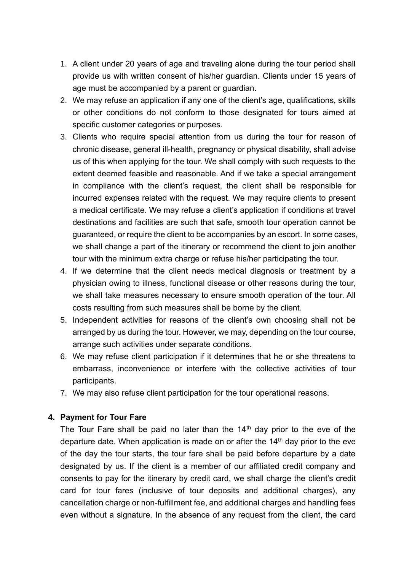- 1. A client under 20 years of age and traveling alone during the tour period shall provide us with written consent of his/her guardian. Clients under 15 years of age must be accompanied by a parent or guardian.
- 2. We may refuse an application if any one of the client's age, qualifications, skills or other conditions do not conform to those designated for tours aimed at specific customer categories or purposes.
- 3. Clients who require special attention from us during the tour for reason of chronic disease, general ill-health, pregnancy or physical disability, shall advise us of this when applying for the tour. We shall comply with such requests to the extent deemed feasible and reasonable. And if we take a special arrangement in compliance with the client's request, the client shall be responsible for incurred expenses related with the request. We may require clients to present a medical certificate. We may refuse a client's application if conditions at travel destinations and facilities are such that safe, smooth tour operation cannot be guaranteed, or require the client to be accompanies by an escort. In some cases, we shall change a part of the itinerary or recommend the client to join another tour with the minimum extra charge or refuse his/her participating the tour.
- 4. If we determine that the client needs medical diagnosis or treatment by a physician owing to illness, functional disease or other reasons during the tour, we shall take measures necessary to ensure smooth operation of the tour. All costs resulting from such measures shall be borne by the client.
- 5. Independent activities for reasons of the client's own choosing shall not be arranged by us during the tour. However, we may, depending on the tour course, arrange such activities under separate conditions.
- 6. We may refuse client participation if it determines that he or she threatens to embarrass, inconvenience or interfere with the collective activities of tour participants.
- 7. We may also refuse client participation for the tour operational reasons.

## **4. Payment for Tour Fare**

The Tour Fare shall be paid no later than the  $14<sup>th</sup>$  day prior to the eve of the departure date. When application is made on or after the  $14<sup>th</sup>$  day prior to the eve of the day the tour starts, the tour fare shall be paid before departure by a date designated by us. If the client is a member of our affiliated credit company and consents to pay for the itinerary by credit card, we shall charge the client's credit card for tour fares (inclusive of tour deposits and additional charges), any cancellation charge or non-fulfillment fee, and additional charges and handling fees even without a signature. In the absence of any request from the client, the card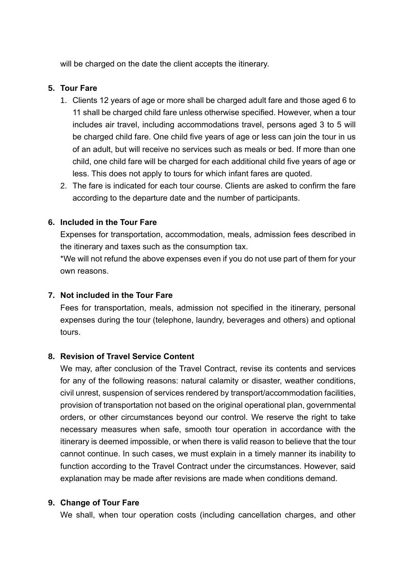will be charged on the date the client accepts the itinerary.

## **5. Tour Fare**

- 1. Clients 12 years of age or more shall be charged adult fare and those aged 6 to 11 shall be charged child fare unless otherwise specified. However, when a tour includes air travel, including accommodations travel, persons aged 3 to 5 will be charged child fare. One child five years of age or less can join the tour in us of an adult, but will receive no services such as meals or bed. If more than one child, one child fare will be charged for each additional child five years of age or less. This does not apply to tours for which infant fares are quoted.
- 2. The fare is indicated for each tour course. Clients are asked to confirm the fare according to the departure date and the number of participants.

## **6. Included in the Tour Fare**

Expenses for transportation, accommodation, meals, admission fees described in the itinerary and taxes such as the consumption tax.

 \*We will not refund the above expenses even if you do not use part of them for your own reasons.

## **7. Not included in the Tour Fare**

Fees for transportation, meals, admission not specified in the itinerary, personal expenses during the tour (telephone, laundry, beverages and others) and optional tours.

## **8. Revision of Travel Service Content**

We may, after conclusion of the Travel Contract, revise its contents and services for any of the following reasons: natural calamity or disaster, weather conditions, civil unrest, suspension of services rendered by transport/accommodation facilities, provision of transportation not based on the original operational plan, governmental orders, or other circumstances beyond our control. We reserve the right to take necessary measures when safe, smooth tour operation in accordance with the itinerary is deemed impossible, or when there is valid reason to believe that the tour cannot continue. In such cases, we must explain in a timely manner its inability to function according to the Travel Contract under the circumstances. However, said explanation may be made after revisions are made when conditions demand.

## **9. Change of Tour Fare**

We shall, when tour operation costs (including cancellation charges, and other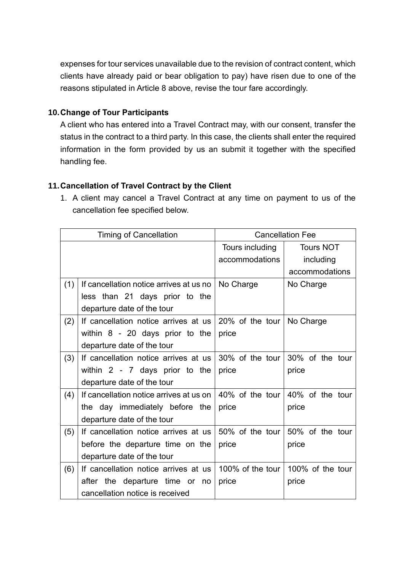expenses for tour services unavailable due to the revision of contract content, which clients have already paid or bear obligation to pay) have risen due to one of the reasons stipulated in Article 8 above, revise the tour fare accordingly.

## **10.Change of Tour Participants**

A client who has entered into a Travel Contract may, with our consent, transfer the status in the contract to a third party. In this case, the clients shall enter the required information in the form provided by us an submit it together with the specified handling fee.

## **11.Cancellation of Travel Contract by the Client**

1. A client may cancel a Travel Contract at any time on payment to us of the cancellation fee specified below.

| <b>Timing of Cancellation</b> |                                         | <b>Cancellation Fee</b>           |                                             |
|-------------------------------|-----------------------------------------|-----------------------------------|---------------------------------------------|
|                               |                                         | Tours including                   | <b>Tours NOT</b>                            |
|                               |                                         | accommodations                    | including                                   |
|                               |                                         |                                   | accommodations                              |
| (1)                           | If cancellation notice arrives at us no | No Charge                         | No Charge                                   |
|                               | less than 21 days prior to the          |                                   |                                             |
|                               | departure date of the tour              |                                   |                                             |
| (2)                           | If cancellation notice arrives at us    | 20% of the tour $\vert$ No Charge |                                             |
|                               | within $8 - 20$ days prior to the       | price                             |                                             |
|                               | departure date of the tour              |                                   |                                             |
| (3)                           | If cancellation notice arrives at us    |                                   | 30% of the tour 30% of the tour             |
|                               | within $2 - 7$ days prior to the        | price                             | price                                       |
|                               | departure date of the tour              |                                   |                                             |
| (4)                           | If cancellation notice arrives at us on |                                   | 40% of the tour $ 40\% \rangle$ of the tour |
|                               | the day immediately before the          | price                             | price                                       |
|                               | departure date of the tour              |                                   |                                             |
| (5)                           | If cancellation notice arrives at us    | 50% of the tour                   | 50% of the tour                             |
|                               | before the departure time on the        | price                             | price                                       |
|                               | departure date of the tour              |                                   |                                             |
| (6)                           | If cancellation notice arrives at us    |                                   | 100% of the tour   100% of the tour         |
|                               | after the departure time or<br>no       | price                             | price                                       |
|                               | cancellation notice is received         |                                   |                                             |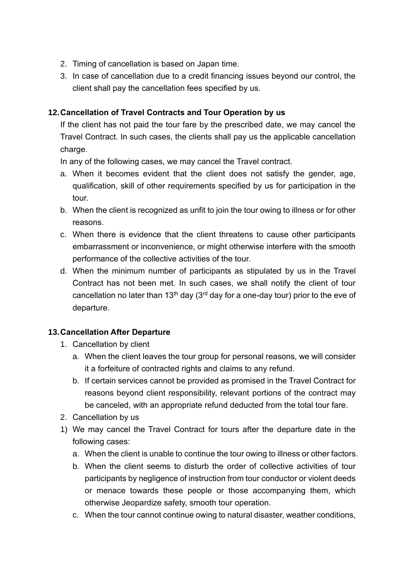- 2. Timing of cancellation is based on Japan time.
- 3. In case of cancellation due to a credit financing issues beyond our control, the client shall pay the cancellation fees specified by us.

# **12.Cancellation of Travel Contracts and Tour Operation by us**

If the client has not paid the tour fare by the prescribed date, we may cancel the Travel Contract. In such cases, the clients shall pay us the applicable cancellation charge.

In any of the following cases, we may cancel the Travel contract.

- a. When it becomes evident that the client does not satisfy the gender, age, qualification, skill of other requirements specified by us for participation in the tour.
- b. When the client is recognized as unfit to join the tour owing to illness or for other reasons.
- c. When there is evidence that the client threatens to cause other participants embarrassment or inconvenience, or might otherwise interfere with the smooth performance of the collective activities of the tour.
- d. When the minimum number of participants as stipulated by us in the Travel Contract has not been met. In such cases, we shall notify the client of tour cancellation no later than 13<sup>th</sup> day (3<sup>rd</sup> day for a one-day tour) prior to the eve of departure.

# **13.Cancellation After Departure**

- 1. Cancellation by client
	- a. When the client leaves the tour group for personal reasons, we will consider it a forfeiture of contracted rights and claims to any refund.
	- b. If certain services cannot be provided as promised in the Travel Contract for reasons beyond client responsibility, relevant portions of the contract may be canceled, with an appropriate refund deducted from the total tour fare.
- 2. Cancellation by us
- 1) We may cancel the Travel Contract for tours after the departure date in the following cases:
	- a. When the client is unable to continue the tour owing to illness or other factors.
	- b. When the client seems to disturb the order of collective activities of tour participants by negligence of instruction from tour conductor or violent deeds or menace towards these people or those accompanying them, which otherwise Jeopardize safety, smooth tour operation.
	- c. When the tour cannot continue owing to natural disaster, weather conditions,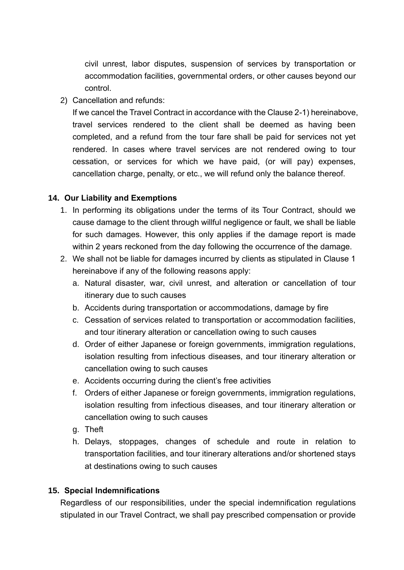civil unrest, labor disputes, suspension of services by transportation or accommodation facilities, governmental orders, or other causes beyond our control.

2) Cancellation and refunds:

If we cancel the Travel Contract in accordance with the Clause 2-1) hereinabove, travel services rendered to the client shall be deemed as having been completed, and a refund from the tour fare shall be paid for services not yet rendered. In cases where travel services are not rendered owing to tour cessation, or services for which we have paid, (or will pay) expenses, cancellation charge, penalty, or etc., we will refund only the balance thereof.

## **14. Our Liability and Exemptions**

- 1. In performing its obligations under the terms of its Tour Contract, should we cause damage to the client through willful negligence or fault, we shall be liable for such damages. However, this only applies if the damage report is made within 2 years reckoned from the day following the occurrence of the damage.
- 2. We shall not be liable for damages incurred by clients as stipulated in Clause 1 hereinabove if any of the following reasons apply:
	- a. Natural disaster, war, civil unrest, and alteration or cancellation of tour itinerary due to such causes
	- b. Accidents during transportation or accommodations, damage by fire
	- c. Cessation of services related to transportation or accommodation facilities, and tour itinerary alteration or cancellation owing to such causes
	- d. Order of either Japanese or foreign governments, immigration regulations, isolation resulting from infectious diseases, and tour itinerary alteration or cancellation owing to such causes
	- e. Accidents occurring during the client's free activities
	- f. Orders of either Japanese or foreign governments, immigration regulations, isolation resulting from infectious diseases, and tour itinerary alteration or cancellation owing to such causes
	- g. Theft
	- h. Delays, stoppages, changes of schedule and route in relation to transportation facilities, and tour itinerary alterations and/or shortened stays at destinations owing to such causes

## **15. Special Indemnifications**

Regardless of our responsibilities, under the special indemnification regulations stipulated in our Travel Contract, we shall pay prescribed compensation or provide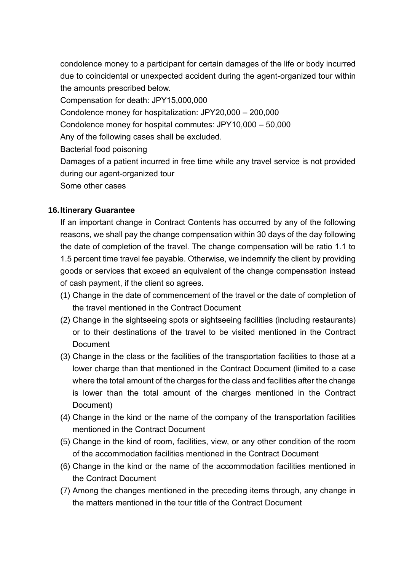condolence money to a participant for certain damages of the life or body incurred due to coincidental or unexpected accident during the agent-organized tour within the amounts prescribed below.

Compensation for death: JPY15,000,000

Condolence money for hospitalization: JPY20,000 – 200,000

Condolence money for hospital commutes: JPY10,000 – 50,000

Any of the following cases shall be excluded.

Bacterial food poisoning

Damages of a patient incurred in free time while any travel service is not provided during our agent-organized tour

Some other cases

# **16.Itinerary Guarantee**

If an important change in Contract Contents has occurred by any of the following reasons, we shall pay the change compensation within 30 days of the day following the date of completion of the travel. The change compensation will be ratio 1.1 to 1.5 percent time travel fee payable. Otherwise, we indemnify the client by providing goods or services that exceed an equivalent of the change compensation instead of cash payment, if the client so agrees.

- (1) Change in the date of commencement of the travel or the date of completion of the travel mentioned in the Contract Document
- (2) Change in the sightseeing spots or sightseeing facilities (including restaurants) or to their destinations of the travel to be visited mentioned in the Contract **Document**
- (3) Change in the class or the facilities of the transportation facilities to those at a lower charge than that mentioned in the Contract Document (limited to a case where the total amount of the charges for the class and facilities after the change is lower than the total amount of the charges mentioned in the Contract Document)
- (4) Change in the kind or the name of the company of the transportation facilities mentioned in the Contract Document
- (5) Change in the kind of room, facilities, view, or any other condition of the room of the accommodation facilities mentioned in the Contract Document
- (6) Change in the kind or the name of the accommodation facilities mentioned in the Contract Document
- (7) Among the changes mentioned in the preceding items through, any change in the matters mentioned in the tour title of the Contract Document